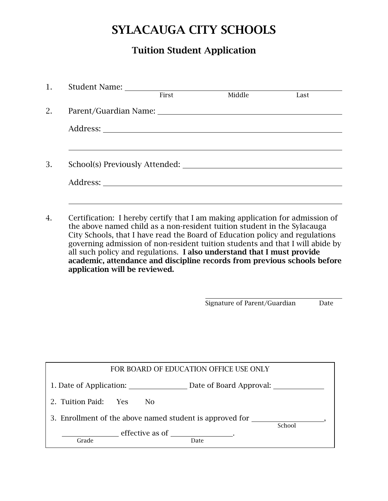# SYLACAUGA CITY SCHOOLS

## Tuition Student Application

|    | 1. Student Name:                                                                                                                                                                                                                                                                                                                                                                                     |       |        |      |  |  |
|----|------------------------------------------------------------------------------------------------------------------------------------------------------------------------------------------------------------------------------------------------------------------------------------------------------------------------------------------------------------------------------------------------------|-------|--------|------|--|--|
|    |                                                                                                                                                                                                                                                                                                                                                                                                      | First | Middle | Last |  |  |
| 2. | Parent/Guardian Name: 2008. Expansion of the contract of the contract of the contract of the contract of the contract of the contract of the contract of the contract of the contract of the contract of the contract of the c                                                                                                                                                                       |       |        |      |  |  |
|    |                                                                                                                                                                                                                                                                                                                                                                                                      |       |        |      |  |  |
|    |                                                                                                                                                                                                                                                                                                                                                                                                      |       |        |      |  |  |
| 3. | School(s) Previously Attended:                                                                                                                                                                                                                                                                                                                                                                       |       |        |      |  |  |
|    |                                                                                                                                                                                                                                                                                                                                                                                                      |       |        |      |  |  |
|    |                                                                                                                                                                                                                                                                                                                                                                                                      |       |        |      |  |  |
| 4. | Certification: I hereby certify that I am making application for admission of<br>the above named child as a non-resident tuition student in the Sylacauga<br>City Schools, that I have read the Board of Education policy and regulations<br>governing admission of non-resident tuition students and that I will abide by<br>all such policy and regulations. I also understand that I must provide |       |        |      |  |  |

all such policy and regulations. I also understand that I must provide academic, attendance and discipline records from previous schools before application will be reviewed.

Signature of Parent/Guardian Date

| FOR BOARD OF EDUCATION OFFICE USE ONLY                             |                                            |  |  |  |  |  |
|--------------------------------------------------------------------|--------------------------------------------|--|--|--|--|--|
|                                                                    |                                            |  |  |  |  |  |
| 2. Tuition Paid: Yes<br>N <sub>0</sub>                             |                                            |  |  |  |  |  |
| 3. Enrollment of the above named student is approved for<br>School |                                            |  |  |  |  |  |
| Grade                                                              | effective as of _________________.<br>Date |  |  |  |  |  |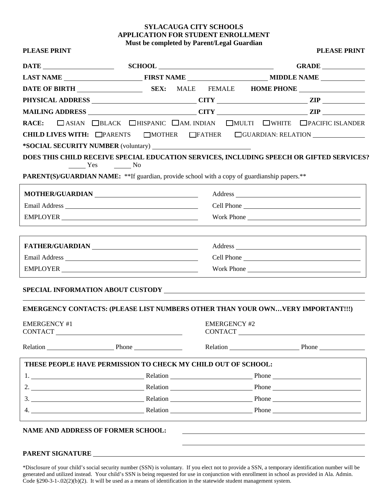#### **SYLACAUGA CITY SCHOOLS APPLICATION FOR STUDENT ENROLLMENT Must be completed by Parent/Legal Guardian**

| DATE SCHOOL SCHOOL                                                                                                                                                                                                             |                                        |                     | GRADE                                                                                                                                                                                                                          |  |
|--------------------------------------------------------------------------------------------------------------------------------------------------------------------------------------------------------------------------------|----------------------------------------|---------------------|--------------------------------------------------------------------------------------------------------------------------------------------------------------------------------------------------------------------------------|--|
|                                                                                                                                                                                                                                |                                        |                     |                                                                                                                                                                                                                                |  |
|                                                                                                                                                                                                                                |                                        |                     |                                                                                                                                                                                                                                |  |
|                                                                                                                                                                                                                                |                                        |                     |                                                                                                                                                                                                                                |  |
|                                                                                                                                                                                                                                |                                        |                     |                                                                                                                                                                                                                                |  |
|                                                                                                                                                                                                                                |                                        |                     | RACE: CASIAN CBLACK CHISPANIC CAM. INDIAN CMULTI CWHITE CPACIFIC ISLANDER                                                                                                                                                      |  |
|                                                                                                                                                                                                                                |                                        |                     | <b>CHILD LIVES WITH:</b> $\Box$ PARENTS $\Box$ MOTHER $\Box$ FATHER $\Box$ GUARDIAN: RELATION                                                                                                                                  |  |
|                                                                                                                                                                                                                                |                                        |                     |                                                                                                                                                                                                                                |  |
| Yes                                                                                                                                                                                                                            | $\sim$ No                              |                     | DOES THIS CHILD RECEIVE SPECIAL EDUCATION SERVICES, INCLUDING SPEECH OR GIFTED SERVICES?                                                                                                                                       |  |
| PARENT(S)/GUARDIAN NAME: ** If guardian, provide school with a copy of guardianship papers.**                                                                                                                                  |                                        |                     |                                                                                                                                                                                                                                |  |
| MOTHER/GUARDIAN NOTHER/LETTER OF THE MANUSCRIPTION OF THE MANUSCRIPTION OF THE MANUSCRIPTION OF THE MANUSCRIPTION OF THE MANUSCRIPTION OF THE MANUSCRIPTION OF THE MANUSCRIPTION OF THE MANUSCRIPTION OF THE MANUSCRIPTION OF  |                                        |                     |                                                                                                                                                                                                                                |  |
|                                                                                                                                                                                                                                |                                        |                     |                                                                                                                                                                                                                                |  |
|                                                                                                                                                                                                                                |                                        |                     |                                                                                                                                                                                                                                |  |
| FATHER/GUARDIAN NAME AND THE RESERVE OF A SERIES AND THE RESERVE OF A SERIES OF A SERIES OF A SERIES OF A SERIES OF A SERIES OF A SERIES OF A SERIES OF A SERIES OF A SERIES OF A SERIES OF A SERIES OF A SERIES OF A SERIES O |                                        |                     |                                                                                                                                                                                                                                |  |
|                                                                                                                                                                                                                                |                                        |                     |                                                                                                                                                                                                                                |  |
|                                                                                                                                                                                                                                |                                        |                     |                                                                                                                                                                                                                                |  |
|                                                                                                                                                                                                                                |                                        |                     |                                                                                                                                                                                                                                |  |
|                                                                                                                                                                                                                                |                                        |                     | EMERGENCY CONTACTS: (PLEASE LIST NUMBERS OTHER THAN YOUR OWNVERY IMPORTANT!!!)                                                                                                                                                 |  |
| <b>EMERGENCY #1</b><br><b>CONTACT</b>                                                                                                                                                                                          | <u> 1980 - Jan Barbara Barbara, ma</u> | <b>EMERGENCY #2</b> | CONTACT                                                                                                                                                                                                                        |  |
| Relation Phone Phone                                                                                                                                                                                                           |                                        |                     | Relation Phone Phone                                                                                                                                                                                                           |  |
| THESE PEOPLE HAVE PERMISSION TO CHECK MY CHILD OUT OF SCHOOL:                                                                                                                                                                  |                                        |                     |                                                                                                                                                                                                                                |  |
|                                                                                                                                                                                                                                |                                        |                     | 1. Relation Phone Phone Phone Phone Phone Phone Phone Phone Phone Phone Phone Phone Phone Phone Phone Phone Phone Phone Phone Phone Phone Phone Phone Phone Phone Phone Phone Phone Phone Phone Phone Phone Phone Phone Phone  |  |
|                                                                                                                                                                                                                                |                                        |                     | 2. $\qquad \qquad$ Relation $\qquad \qquad$ Phone $\qquad \qquad$                                                                                                                                                              |  |
|                                                                                                                                                                                                                                |                                        |                     | 3. Phone Phone Phone Phone Phone Phone Phone Phone Phone Phone Phone Phone Phone Phone Phone Phone Phone Phone Phone Phone Phone Phone Phone Phone Phone Phone Phone Phone Phone Phone Phone Phone Phone Phone Phone Phone Pho |  |
|                                                                                                                                                                                                                                |                                        |                     | 4. Relation Relation Relation Phone Relation                                                                                                                                                                                   |  |

#### **PARENT SIGNATURE**

\*Disclosure of your child's social security number (SSN) is voluntary. If you elect not to provide a SSN, a temporary identification number will be generated and utilized instead. Your child's SSN is being requested for use in conjunction with enrollment in school as provided in Ala. Admin. Code §290-3-1-.02(2)(b)(2). It will be used as a means of identification in the statewide student management system.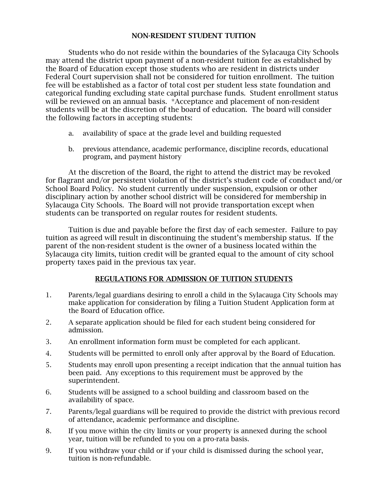#### NON-RESIDENT STUDENT TUITION

Students who do not reside within the boundaries of the Sylacauga City Schools may attend the district upon payment of a non-resident tuition fee as established by the Board of Education except those students who are resident in districts under Federal Court supervision shall not be considered for tuition enrollment. The tuition fee will be established as a factor of total cost per student less state foundation and categorical funding excluding state capital purchase funds. Student enrollment status will be reviewed on an annual basis. \*Acceptance and placement of non-resident students will be at the discretion of the board of education. The board will consider the following factors in accepting students:

- a. availability of space at the grade level and building requested
- b. previous attendance, academic performance, discipline records, educational program, and payment history

At the discretion of the Board, the right to attend the district may be revoked for flagrant and/or persistent violation of the district's student code of conduct and/or School Board Policy. No student currently under suspension, expulsion or other disciplinary action by another school district will be considered for membership in Sylacauga City Schools. The Board will not provide transportation except when students can be transported on regular routes for resident students.

Tuition is due and payable before the first day of each semester. Failure to pay tuition as agreed will result in discontinuing the student's membership status. If the parent of the non-resident student is the owner of a business located within the Sylacauga city limits, tuition credit will be granted equal to the amount of city school property taxes paid in the previous tax year.

#### REGULATIONS FOR ADMISSION OF TUITION STUDENTS

- 1. Parents/legal guardians desiring to enroll a child in the Sylacauga City Schools may make application for consideration by filing a Tuition Student Application form at the Board of Education office.
- 2. A separate application should be filed for each student being considered for admission.
- 3. An enrollment information form must be completed for each applicant.
- 4. Students will be permitted to enroll only after approval by the Board of Education.
- 5. Students may enroll upon presenting a receipt indication that the annual tuition has been paid. Any exceptions to this requirement must be approved by the superintendent.
- 6. Students will be assigned to a school building and classroom based on the availability of space.
- 7. Parents/legal guardians will be required to provide the district with previous record of attendance, academic performance and discipline.
- 8. If you move within the city limits or your property is annexed during the school year, tuition will be refunded to you on a pro-rata basis.
- 9. If you withdraw your child or if your child is dismissed during the school year, tuition is non-refundable.